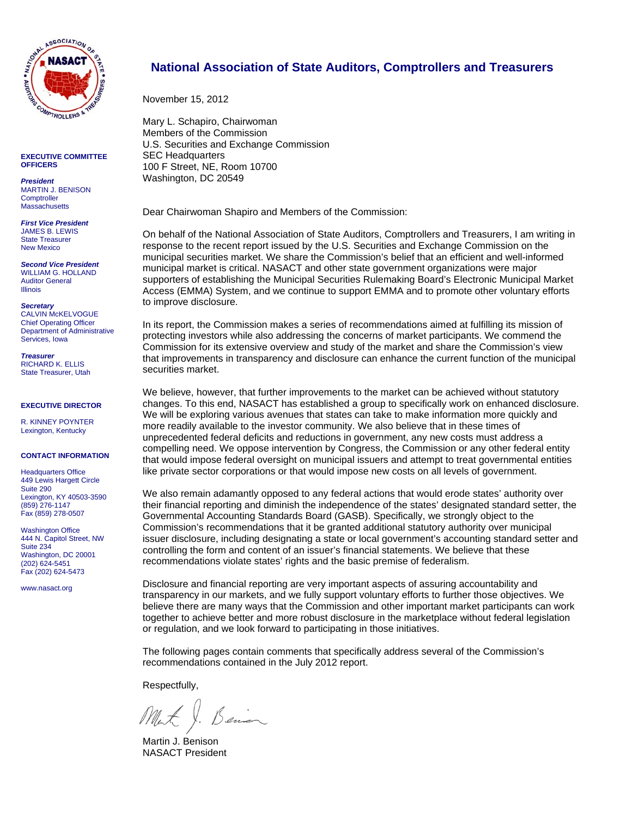

**EXECUTIVE COMMITTEE OFFICERS** 

*President*  MARTIN J. BENISON **Comptroller Massachusetts** 

*First Vice President*  JAMES B. LEWIS State Treasurer New Mexico

*Second Vice President*  WILLIAM G. HOLLAND Auditor General Illinois

*Secretary*  CALVIN McKELVOGUE Chief Operating Officer Department of Administrative Services, Iowa

*Treasurer*  RICHARD K. ELLIS State Treasurer, Utah

#### **EXECUTIVE DIRECTOR**

R. KINNEY POYNTER Lexington, Kentucky

#### **CONTACT INFORMATION**

Headquarters Office 449 Lewis Hargett Circle Suite 290 Lexington, KY 40503-3590 (859) 276-1147 Fax (859) 278-0507

Washington Office 444 N. Capitol Street, NW Suite 234 Washington, DC 20001 (202) 624-5451 Fax (202) 624-5473

www.nasact.org

#### **National Association of State Auditors, Comptrollers and Treasurers**

November 15, 2012

Mary L. Schapiro, Chairwoman Members of the Commission U.S. Securities and Exchange Commission SEC Headquarters 100 F Street, NE, Room 10700 Washington, DC 20549

Dear Chairwoman Shapiro and Members of the Commission:

On behalf of the National Association of State Auditors, Comptrollers and Treasurers, I am writing in response to the recent report issued by the U.S. Securities and Exchange Commission on the municipal securities market. We share the Commission's belief that an efficient and well-informed municipal market is critical. NASACT and other state government organizations were major supporters of establishing the Municipal Securities Rulemaking Board's Electronic Municipal Market Access (EMMA) System, and we continue to support EMMA and to promote other voluntary efforts to improve disclosure.

In its report, the Commission makes a series of recommendations aimed at fulfilling its mission of protecting investors while also addressing the concerns of market participants. We commend the Commission for its extensive overview and study of the market and share the Commission's view that improvements in transparency and disclosure can enhance the current function of the municipal securities market.

We believe, however, that further improvements to the market can be achieved without statutory changes. To this end, NASACT has established a group to specifically work on enhanced disclosure. We will be exploring various avenues that states can take to make information more quickly and more readily available to the investor community. We also believe that in these times of unprecedented federal deficits and reductions in government, any new costs must address a compelling need. We oppose intervention by Congress, the Commission or any other federal entity that would impose federal oversight on municipal issuers and attempt to treat governmental entities like private sector corporations or that would impose new costs on all levels of government.

We also remain adamantly opposed to any federal actions that would erode states' authority over their financial reporting and diminish the independence of the states' designated standard setter, the Governmental Accounting Standards Board (GASB). Specifically, we strongly object to the Commission's recommendations that it be granted additional statutory authority over municipal issuer disclosure, including designating a state or local government's accounting standard setter and controlling the form and content of an issuer's financial statements. We believe that these recommendations violate states' rights and the basic premise of federalism.

Disclosure and financial reporting are very important aspects of assuring accountability and transparency in our markets, and we fully support voluntary efforts to further those objectives. We believe there are many ways that the Commission and other important market participants can work together to achieve better and more robust disclosure in the marketplace without federal legislation or regulation, and we look forward to participating in those initiatives.

The following pages contain comments that specifically address several of the Commission's recommendations contained in the July 2012 report.

Respectfully,

Benier Mat X.

Martin J. Benison NASACT President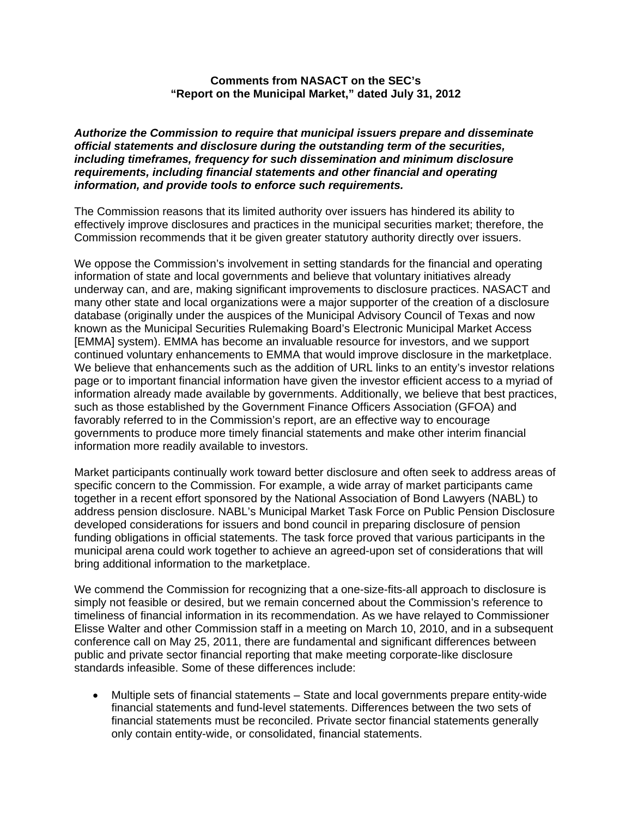#### **Comments from NASACT on the SEC's "Report on the Municipal Market," dated July 31, 2012**

*Authorize the Commission to require that municipal issuers prepare and disseminate official statements and disclosure during the outstanding term of the securities, including timeframes, frequency for such dissemination and minimum disclosure requirements, including financial statements and other financial and operating information, and provide tools to enforce such requirements.* 

The Commission reasons that its limited authority over issuers has hindered its ability to effectively improve disclosures and practices in the municipal securities market; therefore, the Commission recommends that it be given greater statutory authority directly over issuers.

We oppose the Commission's involvement in setting standards for the financial and operating information of state and local governments and believe that voluntary initiatives already underway can, and are, making significant improvements to disclosure practices. NASACT and many other state and local organizations were a major supporter of the creation of a disclosure database (originally under the auspices of the Municipal Advisory Council of Texas and now known as the Municipal Securities Rulemaking Board's Electronic Municipal Market Access [EMMA] system). EMMA has become an invaluable resource for investors, and we support continued voluntary enhancements to EMMA that would improve disclosure in the marketplace. We believe that enhancements such as the addition of URL links to an entity's investor relations page or to important financial information have given the investor efficient access to a myriad of information already made available by governments. Additionally, we believe that best practices, such as those established by the Government Finance Officers Association (GFOA) and favorably referred to in the Commission's report, are an effective way to encourage governments to produce more timely financial statements and make other interim financial information more readily available to investors.

Market participants continually work toward better disclosure and often seek to address areas of specific concern to the Commission. For example, a wide array of market participants came together in a recent effort sponsored by the National Association of Bond Lawyers (NABL) to address pension disclosure. NABL's Municipal Market Task Force on Public Pension Disclosure developed considerations for issuers and bond council in preparing disclosure of pension funding obligations in official statements. The task force proved that various participants in the municipal arena could work together to achieve an agreed-upon set of considerations that will bring additional information to the marketplace.

We commend the Commission for recognizing that a one-size-fits-all approach to disclosure is simply not feasible or desired, but we remain concerned about the Commission's reference to timeliness of financial information in its recommendation. As we have relayed to Commissioner Elisse Walter and other Commission staff in a meeting on March 10, 2010, and in a subsequent conference call on May 25, 2011, there are fundamental and significant differences between public and private sector financial reporting that make meeting corporate-like disclosure standards infeasible. Some of these differences include:

 Multiple sets of financial statements – State and local governments prepare entity-wide financial statements and fund-level statements. Differences between the two sets of financial statements must be reconciled. Private sector financial statements generally only contain entity-wide, or consolidated, financial statements.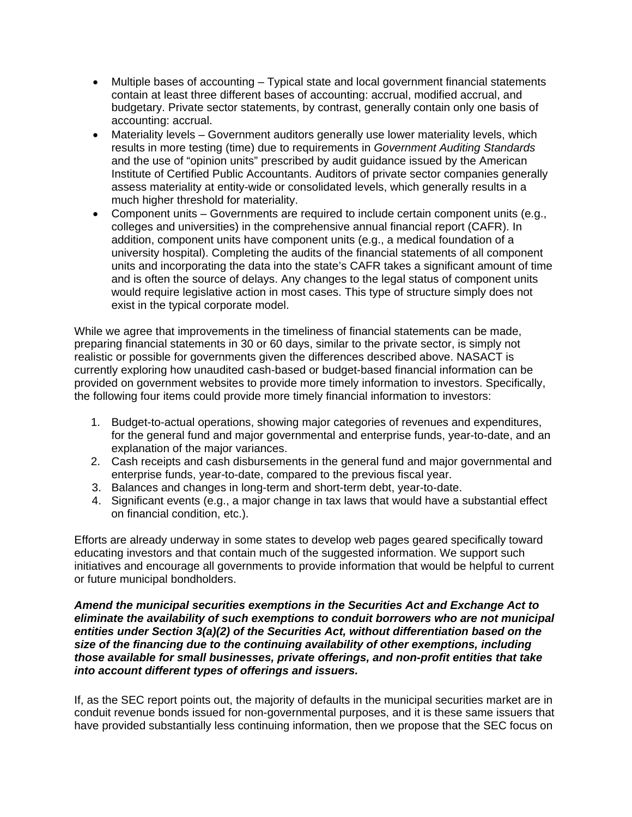- Multiple bases of accounting Typical state and local government financial statements contain at least three different bases of accounting: accrual, modified accrual, and budgetary. Private sector statements, by contrast, generally contain only one basis of accounting: accrual.
- Materiality levels Government auditors generally use lower materiality levels, which results in more testing (time) due to requirements in *Government Auditing Standards* and the use of "opinion units" prescribed by audit guidance issued by the American Institute of Certified Public Accountants. Auditors of private sector companies generally assess materiality at entity-wide or consolidated levels, which generally results in a much higher threshold for materiality.
- Component units Governments are required to include certain component units (e.g., colleges and universities) in the comprehensive annual financial report (CAFR). In addition, component units have component units (e.g., a medical foundation of a university hospital). Completing the audits of the financial statements of all component units and incorporating the data into the state's CAFR takes a significant amount of time and is often the source of delays. Any changes to the legal status of component units would require legislative action in most cases. This type of structure simply does not exist in the typical corporate model.

While we agree that improvements in the timeliness of financial statements can be made, preparing financial statements in 30 or 60 days, similar to the private sector, is simply not realistic or possible for governments given the differences described above. NASACT is currently exploring how unaudited cash-based or budget-based financial information can be provided on government websites to provide more timely information to investors. Specifically, the following four items could provide more timely financial information to investors:

- 1. Budget-to-actual operations, showing major categories of revenues and expenditures, for the general fund and major governmental and enterprise funds, year-to-date, and an explanation of the major variances.
- 2. Cash receipts and cash disbursements in the general fund and major governmental and enterprise funds, year-to-date, compared to the previous fiscal year.
- 3. Balances and changes in long-term and short-term debt, year-to-date.
- 4. Significant events (e.g., a major change in tax laws that would have a substantial effect on financial condition, etc.).

Efforts are already underway in some states to develop web pages geared specifically toward educating investors and that contain much of the suggested information. We support such initiatives and encourage all governments to provide information that would be helpful to current or future municipal bondholders.

## *Amend the municipal securities exemptions in the Securities Act and Exchange Act to eliminate the availability of such exemptions to conduit borrowers who are not municipal entities under Section 3(a)(2) of the Securities Act, without differentiation based on the size of the financing due to the continuing availability of other exemptions, including those available for small businesses, private offerings, and non-profit entities that take into account different types of offerings and issuers.*

If, as the SEC report points out, the majority of defaults in the municipal securities market are in conduit revenue bonds issued for non-governmental purposes, and it is these same issuers that have provided substantially less continuing information, then we propose that the SEC focus on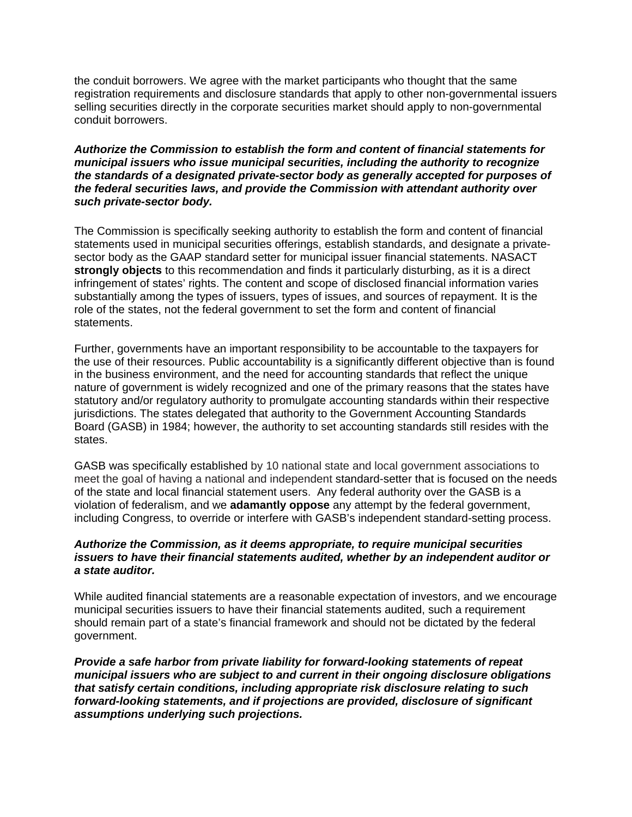the conduit borrowers. We agree with the market participants who thought that the same registration requirements and disclosure standards that apply to other non-governmental issuers selling securities directly in the corporate securities market should apply to non-governmental conduit borrowers.

*Authorize the Commission to establish the form and content of financial statements for municipal issuers who issue municipal securities, including the authority to recognize the standards of a designated private-sector body as generally accepted for purposes of the federal securities laws, and provide the Commission with attendant authority over such private-sector body.* 

The Commission is specifically seeking authority to establish the form and content of financial statements used in municipal securities offerings, establish standards, and designate a privatesector body as the GAAP standard setter for municipal issuer financial statements. NASACT **strongly objects** to this recommendation and finds it particularly disturbing, as it is a direct infringement of states' rights. The content and scope of disclosed financial information varies substantially among the types of issuers, types of issues, and sources of repayment. It is the role of the states, not the federal government to set the form and content of financial statements.

Further, governments have an important responsibility to be accountable to the taxpayers for the use of their resources. Public accountability is a significantly different objective than is found in the business environment, and the need for accounting standards that reflect the unique nature of government is widely recognized and one of the primary reasons that the states have statutory and/or regulatory authority to promulgate accounting standards within their respective jurisdictions. The states delegated that authority to the Government Accounting Standards Board (GASB) in 1984; however, the authority to set accounting standards still resides with the states.

GASB was specifically established by 10 national state and local government associations to meet the goal of having a national and independent standard-setter that is focused on the needs of the state and local financial statement users. Any federal authority over the GASB is a violation of federalism, and we **adamantly oppose** any attempt by the federal government, including Congress, to override or interfere with GASB's independent standard-setting process.

#### *Authorize the Commission, as it deems appropriate, to require municipal securities issuers to have their financial statements audited, whether by an independent auditor or a state auditor.*

While audited financial statements are a reasonable expectation of investors, and we encourage municipal securities issuers to have their financial statements audited, such a requirement should remain part of a state's financial framework and should not be dictated by the federal government.

*Provide a safe harbor from private liability for forward-looking statements of repeat municipal issuers who are subject to and current in their ongoing disclosure obligations that satisfy certain conditions, including appropriate risk disclosure relating to such forward-looking statements, and if projections are provided, disclosure of significant assumptions underlying such projections.*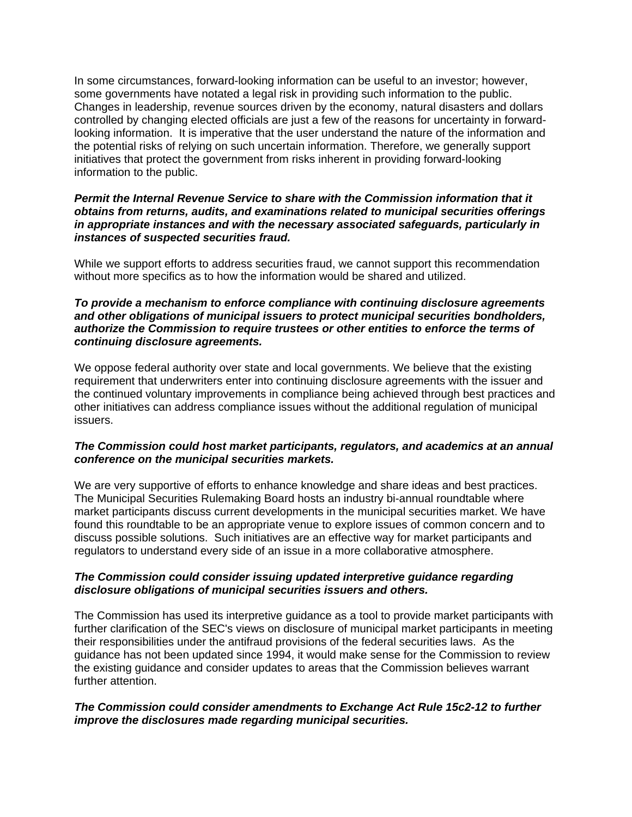In some circumstances, forward-looking information can be useful to an investor; however, some governments have notated a legal risk in providing such information to the public. Changes in leadership, revenue sources driven by the economy, natural disasters and dollars controlled by changing elected officials are just a few of the reasons for uncertainty in forwardlooking information. It is imperative that the user understand the nature of the information and the potential risks of relying on such uncertain information. Therefore, we generally support initiatives that protect the government from risks inherent in providing forward-looking information to the public.

## *Permit the Internal Revenue Service to share with the Commission information that it obtains from returns, audits, and examinations related to municipal securities offerings in appropriate instances and with the necessary associated safeguards, particularly in instances of suspected securities fraud.*

While we support efforts to address securities fraud, we cannot support this recommendation without more specifics as to how the information would be shared and utilized.

## *To provide a mechanism to enforce compliance with continuing disclosure agreements and other obligations of municipal issuers to protect municipal securities bondholders, authorize the Commission to require trustees or other entities to enforce the terms of continuing disclosure agreements.*

We oppose federal authority over state and local governments. We believe that the existing requirement that underwriters enter into continuing disclosure agreements with the issuer and the continued voluntary improvements in compliance being achieved through best practices and other initiatives can address compliance issues without the additional regulation of municipal issuers.

# *The Commission could host market participants, regulators, and academics at an annual conference on the municipal securities markets.*

We are very supportive of efforts to enhance knowledge and share ideas and best practices. The Municipal Securities Rulemaking Board hosts an industry bi-annual roundtable where market participants discuss current developments in the municipal securities market. We have found this roundtable to be an appropriate venue to explore issues of common concern and to discuss possible solutions. Such initiatives are an effective way for market participants and regulators to understand every side of an issue in a more collaborative atmosphere.

## *The Commission could consider issuing updated interpretive guidance regarding disclosure obligations of municipal securities issuers and others.*

The Commission has used its interpretive guidance as a tool to provide market participants with further clarification of the SEC's views on disclosure of municipal market participants in meeting their responsibilities under the antifraud provisions of the federal securities laws. As the guidance has not been updated since 1994, it would make sense for the Commission to review the existing guidance and consider updates to areas that the Commission believes warrant further attention.

# *The Commission could consider amendments to Exchange Act Rule 15c2-12 to further improve the disclosures made regarding municipal securities.*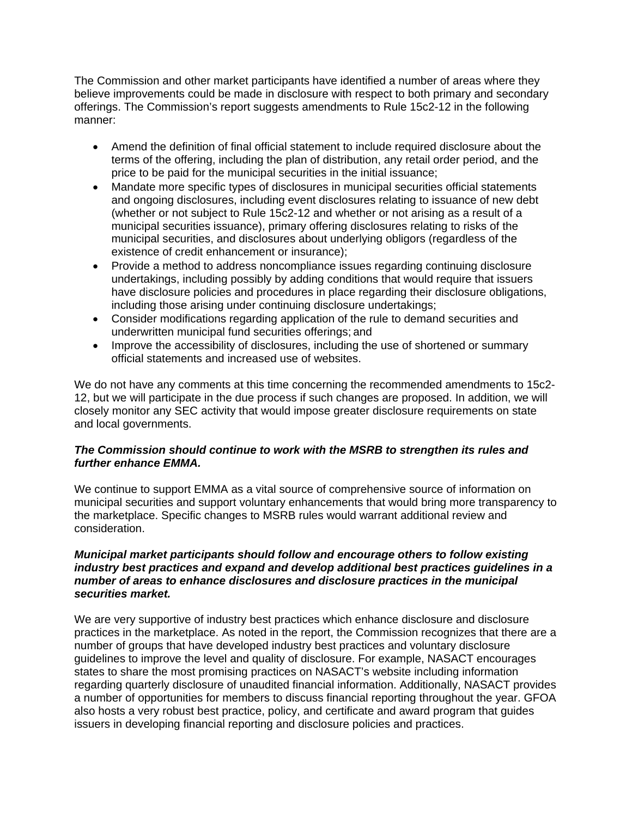The Commission and other market participants have identified a number of areas where they believe improvements could be made in disclosure with respect to both primary and secondary offerings. The Commission's report suggests amendments to Rule 15c2-12 in the following manner:

- Amend the definition of final official statement to include required disclosure about the terms of the offering, including the plan of distribution, any retail order period, and the price to be paid for the municipal securities in the initial issuance;
- Mandate more specific types of disclosures in municipal securities official statements and ongoing disclosures, including event disclosures relating to issuance of new debt (whether or not subject to Rule 15c2-12 and whether or not arising as a result of a municipal securities issuance), primary offering disclosures relating to risks of the municipal securities, and disclosures about underlying obligors (regardless of the existence of credit enhancement or insurance);
- Provide a method to address noncompliance issues regarding continuing disclosure undertakings, including possibly by adding conditions that would require that issuers have disclosure policies and procedures in place regarding their disclosure obligations, including those arising under continuing disclosure undertakings;
- Consider modifications regarding application of the rule to demand securities and underwritten municipal fund securities offerings; and
- Improve the accessibility of disclosures, including the use of shortened or summary official statements and increased use of websites.

We do not have any comments at this time concerning the recommended amendments to 15c2- 12, but we will participate in the due process if such changes are proposed. In addition, we will closely monitor any SEC activity that would impose greater disclosure requirements on state and local governments.

# *The Commission should continue to work with the MSRB to strengthen its rules and further enhance EMMA.*

We continue to support EMMA as a vital source of comprehensive source of information on municipal securities and support voluntary enhancements that would bring more transparency to the marketplace. Specific changes to MSRB rules would warrant additional review and consideration.

# *Municipal market participants should follow and encourage others to follow existing industry best practices and expand and develop additional best practices guidelines in a number of areas to enhance disclosures and disclosure practices in the municipal securities market.*

We are very supportive of industry best practices which enhance disclosure and disclosure practices in the marketplace. As noted in the report, the Commission recognizes that there are a number of groups that have developed industry best practices and voluntary disclosure guidelines to improve the level and quality of disclosure. For example, NASACT encourages states to share the most promising practices on NASACT's website including information regarding quarterly disclosure of unaudited financial information. Additionally, NASACT provides a number of opportunities for members to discuss financial reporting throughout the year. GFOA also hosts a very robust best practice, policy, and certificate and award program that guides issuers in developing financial reporting and disclosure policies and practices.